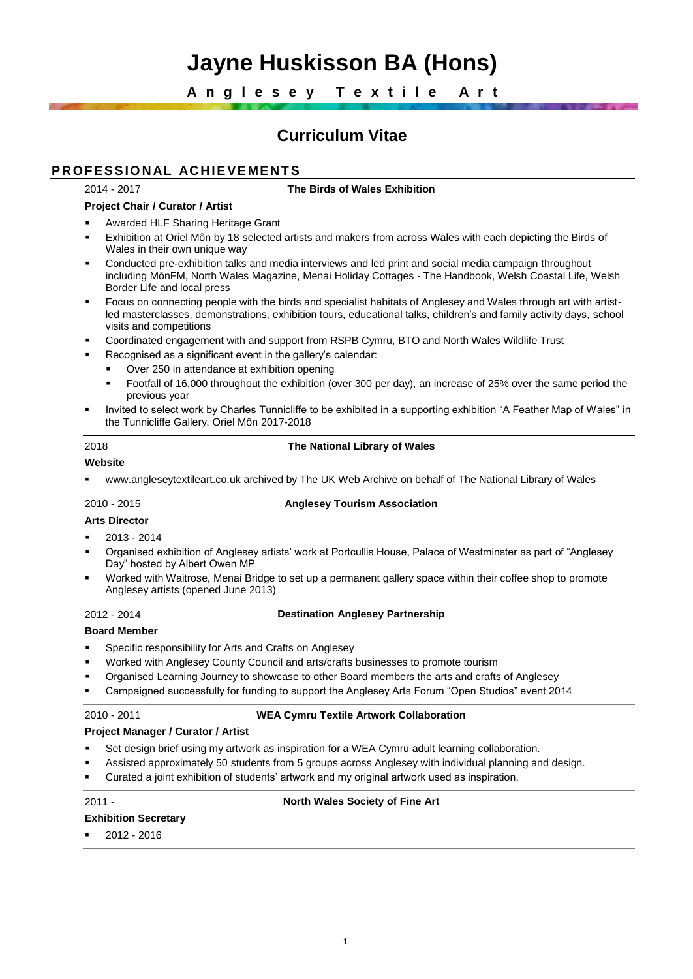# **Jayne Huskisson BA (Hons)**

**A n g l e s e y T e x t i l e A r t**

## **Curriculum Vitae**

## **PROFESSIONAL ACHIEVEMENTS**

#### 2014 - 2017 **The Birds of Wales Exhibition**

#### **Project Chair / Curator / Artist**

- Awarded HLF Sharing Heritage Grant
- Exhibition at Oriel Môn by 18 selected artists and makers from across Wales with each depicting the Birds of Wales in their own unique way
- Conducted pre-exhibition talks and media interviews and led print and social media campaign throughout including MônFM, North Wales Magazine, Menai Holiday Cottages - The Handbook, Welsh Coastal Life, Welsh Border Life and local press
- Focus on connecting people with the birds and specialist habitats of Anglesey and Wales through art with artistled masterclasses, demonstrations, exhibition tours, educational talks, children's and family activity days, school visits and competitions
- Coordinated engagement with and support from RSPB Cymru, BTO and North Wales Wildlife Trust
- Recognised as a significant event in the gallery's calendar:
	- Over 250 in attendance at exhibition opening
	- Footfall of 16,000 throughout the exhibition (over 300 per day), an increase of 25% over the same period the previous year
- Invited to select work by Charles Tunnicliffe to be exhibited in a supporting exhibition "A Feather Map of Wales" in the Tunnicliffe Gallery, Oriel Môn 2017-2018

#### 2018 **The National Library of Wales**

#### **Website**

www.angleseytextileart.co.uk archived by The UK Web Archive on behalf of The National Library of Wales

#### 2010 - 2015 **Anglesey Tourism Association**

#### **Arts Director**

- 2013 2014
- Organised exhibition of Anglesey artists' work at Portcullis House, Palace of Westminster as part of "Anglesey Day" hosted by Albert Owen MP
- Worked with Waitrose, Menai Bridge to set up a permanent gallery space within their coffee shop to promote Anglesey artists (opened June 2013)

#### 2012 - 2014 **Destination Anglesey Partnership**

#### **Board Member**

- Specific responsibility for Arts and Crafts on Anglesey
- Worked with Anglesey County Council and arts/crafts businesses to promote tourism
- Organised Learning Journey to showcase to other Board members the arts and crafts of Anglesey
- Campaigned successfully for funding to support the Anglesey Arts Forum "Open Studios" event 2014

#### 2010 - 2011 **WEA Cymru Textile Artwork Collaboration**

#### **Project Manager / Curator / Artist**

- Set design brief using my artwork as inspiration for a WEA Cymru adult learning collaboration.
- Assisted approximately 50 students from 5 groups across Anglesey with individual planning and design.
- Curated a joint exhibition of students' artwork and my original artwork used as inspiration.

#### 2011 - **North Wales Society of Fine Art**

#### **Exhibition Secretary**

2012 - 2016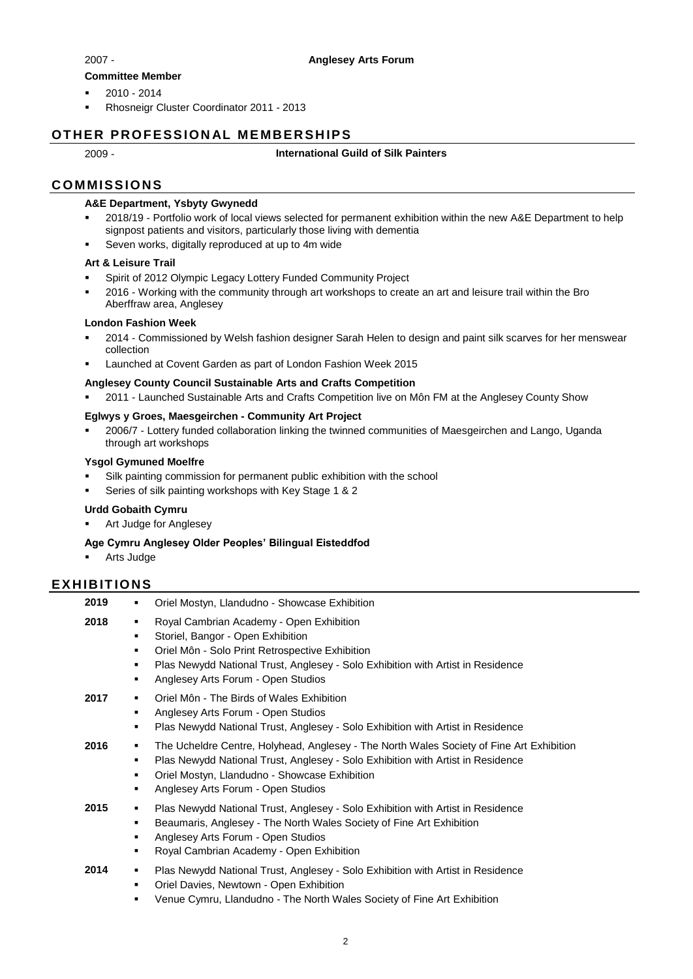#### **Committee Member** 2010 - 2014

- 
- **Rhosneigr Cluster Coordinator 2011 2013**

### **OTHER PROFESSIONAL MEMBERSHIPS**

2009 - **International Guild of Silk Painters**

### **C O MMISS IO NS**

#### **A&E Department, Ysbyty Gwynedd**

- 2018/19 Portfolio work of local views selected for permanent exhibition within the new A&E Department to help signpost patients and visitors, particularly those living with dementia
- **Seven works, digitally reproduced at up to 4m wide**

#### **Art & Leisure Trail**

- Spirit of 2012 Olympic Legacy Lottery Funded Community Project
- 2016 Working with the community through art workshops to create an art and leisure trail within the Bro Aberffraw area, Anglesey

#### **London Fashion Week**

- 2014 Commissioned by Welsh fashion designer Sarah Helen to design and paint silk scarves for her menswear collection
- Launched at Covent Garden as part of London Fashion Week 2015

#### **Anglesey County Council Sustainable Arts and Crafts Competition**

2011 - Launched Sustainable Arts and Crafts Competition live on Môn FM at the Anglesey County Show

#### **Eglwys y Groes, Maesgeirchen - Community Art Project**

 2006/7 - Lottery funded collaboration linking the twinned communities of Maesgeirchen and Lango, Uganda through art workshops

#### **Ysgol Gymuned Moelfre**

- Silk painting commission for permanent public exhibition with the school
- Series of silk painting workshops with Key Stage 1 & 2

#### **Urdd Gobaith Cymru**

Art Judge for Anglesey

#### **Age Cymru Anglesey Older Peoples' Bilingual Eisteddfod**

Arts Judge

#### **EX H IB IT IONS**

| 2019 | Oriel Mostyn, Llandudno - Showcase Exhibition                                                                                                                                                                                                                                                        |
|------|------------------------------------------------------------------------------------------------------------------------------------------------------------------------------------------------------------------------------------------------------------------------------------------------------|
| 2018 | Royal Cambrian Academy - Open Exhibition<br>٠<br>Storiel, Bangor - Open Exhibition<br>Oriel Môn - Solo Print Retrospective Exhibition<br>٠<br>Plas Newydd National Trust, Anglesey - Solo Exhibition with Artist in Residence<br>٠<br>Anglesey Arts Forum - Open Studios<br>٠                        |
| 2017 | Oriel Môn - The Birds of Wales Exhibition<br>٠<br>Anglesey Arts Forum - Open Studios<br>٠<br>Plas Newydd National Trust, Anglesey - Solo Exhibition with Artist in Residence<br>٠                                                                                                                    |
| 2016 | The Ucheldre Centre, Holyhead, Anglesey - The North Wales Society of Fine Art Exhibition<br>л.<br>Plas Newydd National Trust, Anglesey - Solo Exhibition with Artist in Residence<br>٠<br>Oriel Mostyn, Llandudno - Showcase Exhibition<br>$\blacksquare$<br>Anglesey Arts Forum - Open Studios<br>٠ |
| 2015 | Plas Newydd National Trust, Anglesey - Solo Exhibition with Artist in Residence<br>٠.<br>Beaumaris, Anglesey - The North Wales Society of Fine Art Exhibition<br>۰.<br>Anglesey Arts Forum - Open Studios<br>٠<br>Royal Cambrian Academy - Open Exhibition<br>٠                                      |
| 2014 | Plas Newydd National Trust, Anglesey - Solo Exhibition with Artist in Residence<br>л.<br>Oriel Davies, Newtown - Open Exhibition<br>٠<br>Venue Cymru, Llandudno - The North Wales Society of Fine Art Exhibition<br>٠                                                                                |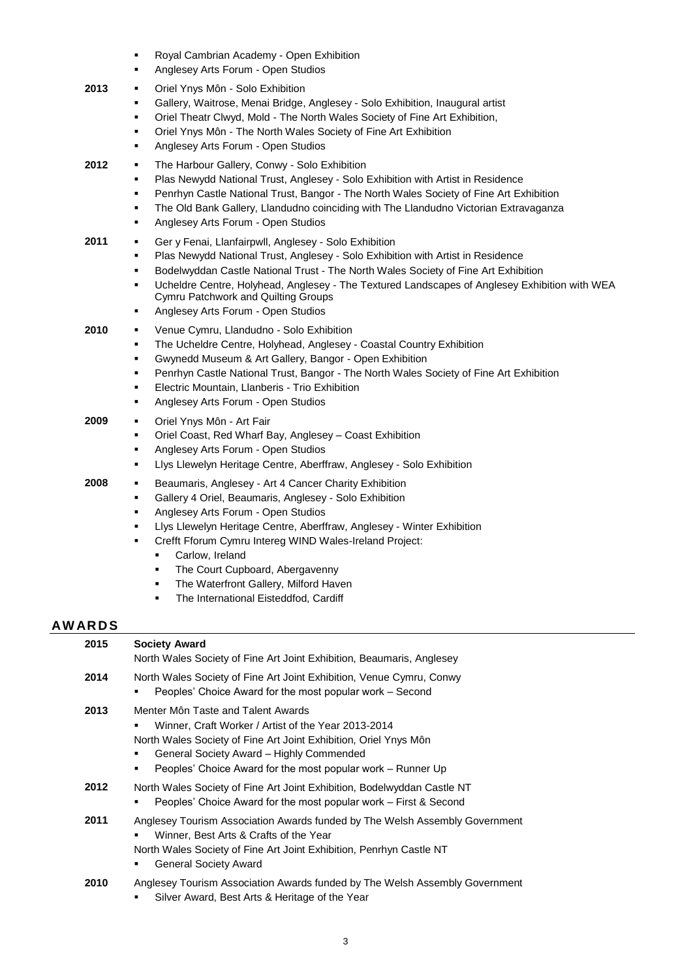- Royal Cambrian Academy Open Exhibition
- Anglesey Arts Forum Open Studios
- **2013** Oriel Ynys Môn - Solo Exhibition
	- Gallery, Waitrose, Menai Bridge, Anglesey Solo Exhibition, Inaugural artist
	- Oriel Theatr Clwyd, Mold The North Wales Society of Fine Art Exhibition,
	- Oriel Ynys Môn The North Wales Society of Fine Art Exhibition
	- Anglesey Arts Forum Open Studios
- **2012** The Harbour Gallery, Conwy - Solo Exhibition
	- Plas Newydd National Trust, Anglesey Solo Exhibition with Artist in Residence
	- Penrhyn Castle National Trust, Bangor The North Wales Society of Fine Art Exhibition
	- The Old Bank Gallery, Llandudno coinciding with The Llandudno Victorian Extravaganza
	- Anglesey Arts Forum Open Studios
	- Ger y Fenai, Llanfairpwll, Anglesey Solo Exhibition
		- Plas Newydd National Trust, Anglesey Solo Exhibition with Artist in Residence
		- Bodelwyddan Castle National Trust The North Wales Society of Fine Art Exhibition
		- Ucheldre Centre, Holyhead, Anglesey The Textured Landscapes of Anglesey Exhibition with WEA Cymru Patchwork and Quilting Groups
		- Anglesey Arts Forum Open Studios
- **2010** Venue Cymru, Llandudno - Solo Exhibition
	- The Ucheldre Centre, Holyhead, Anglesey Coastal Country Exhibition
	- Gwynedd Museum & Art Gallery, Bangor Open Exhibition
	- Penrhyn Castle National Trust, Bangor The North Wales Society of Fine Art Exhibition
	- Electric Mountain, Llanberis Trio Exhibition
	- Anglesey Arts Forum Open Studios
- **2009** Oriel Ynys Môn - Art Fair
	- Oriel Coast, Red Wharf Bay, Anglesey Coast Exhibition
	- Anglesey Arts Forum Open Studios
	- Llys Llewelyn Heritage Centre, Aberffraw, Anglesey Solo Exhibition
- **2008** Beaumaris, Anglesey - Art 4 Cancer Charity Exhibition
	- Gallery 4 Oriel, Beaumaris, Anglesey Solo Exhibition
	- Anglesey Arts Forum Open Studios
	- Llys Llewelyn Heritage Centre, Aberffraw, Anglesey Winter Exhibition
	- Crefft Fforum Cymru Intereg WIND Wales-Ireland Project:
		- Carlow, Ireland
		- The Court Cupboard, Abergavenny
		- The Waterfront Gallery, Milford Haven
		- The International Eisteddfod, Cardiff

### **AW AR D S**

**2011**

| 2015 | <b>Society Award</b>                                                                                                                                                                                                                                                          |  |  |
|------|-------------------------------------------------------------------------------------------------------------------------------------------------------------------------------------------------------------------------------------------------------------------------------|--|--|
|      | North Wales Society of Fine Art Joint Exhibition, Beaumaris, Anglesey                                                                                                                                                                                                         |  |  |
| 2014 | North Wales Society of Fine Art Joint Exhibition, Venue Cymru, Conwy<br>Peoples' Choice Award for the most popular work – Second                                                                                                                                              |  |  |
| 2013 | Menter Môn Taste and Talent Awards<br>Winner, Craft Worker / Artist of the Year 2013-2014<br>North Wales Society of Fine Art Joint Exhibition, Oriel Ynys Môn<br>General Society Award - Highly Commended<br>Peoples' Choice Award for the most popular work – Runner Up<br>٠ |  |  |
| 2012 | North Wales Society of Fine Art Joint Exhibition, Bodelwyddan Castle NT<br>Peoples' Choice Award for the most popular work – First & Second                                                                                                                                   |  |  |
| 2011 | Anglesey Tourism Association Awards funded by The Welsh Assembly Government<br>Winner, Best Arts & Crafts of the Year<br>٠<br>North Wales Society of Fine Art Joint Exhibition, Penrhyn Castle NT<br><b>General Society Award</b>                                             |  |  |
| 2010 | Anglesey Tourism Association Awards funded by The Welsh Assembly Government<br>Silver Award, Best Arts & Heritage of the Year                                                                                                                                                 |  |  |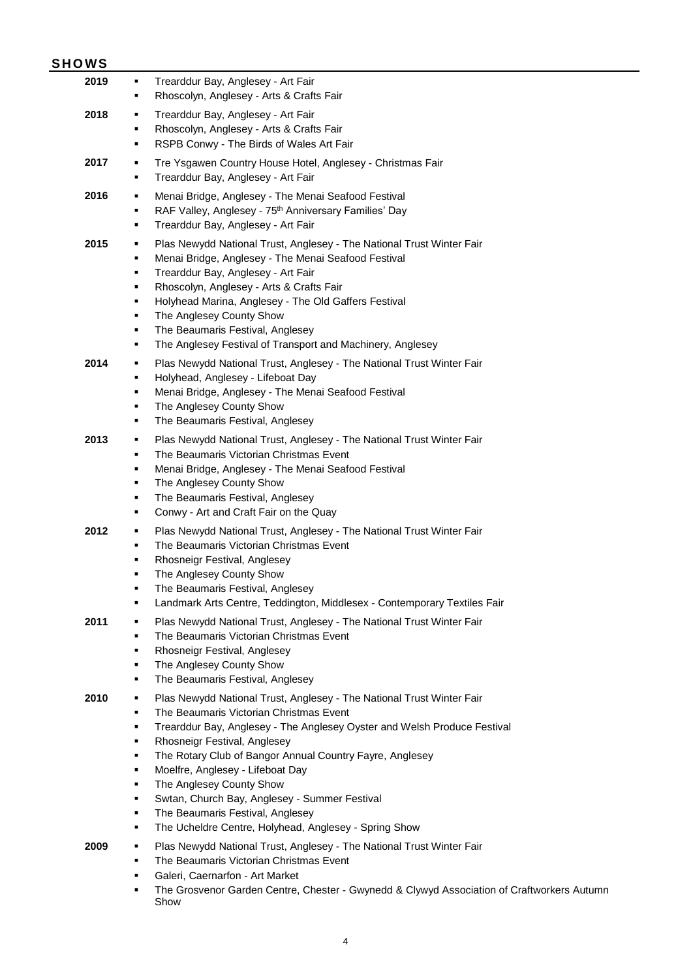## **SH O WS**

| 2019 | Trearddur Bay, Anglesey - Art Fair<br>٠<br>Rhoscolyn, Anglesey - Arts & Crafts Fair<br>٠                                                                                                                                                                                                                                                                                                                                                                                                                                                                 |
|------|----------------------------------------------------------------------------------------------------------------------------------------------------------------------------------------------------------------------------------------------------------------------------------------------------------------------------------------------------------------------------------------------------------------------------------------------------------------------------------------------------------------------------------------------------------|
| 2018 | Trearddur Bay, Anglesey - Art Fair<br>٠<br>Rhoscolyn, Anglesey - Arts & Crafts Fair<br>٠<br>RSPB Conwy - The Birds of Wales Art Fair<br>٠                                                                                                                                                                                                                                                                                                                                                                                                                |
| 2017 | Tre Ysgawen Country House Hotel, Anglesey - Christmas Fair<br>٠<br>Trearddur Bay, Anglesey - Art Fair<br>٠                                                                                                                                                                                                                                                                                                                                                                                                                                               |
| 2016 | Menai Bridge, Anglesey - The Menai Seafood Festival<br>٠<br>RAF Valley, Anglesey - 75 <sup>th</sup> Anniversary Families' Day<br>٠<br>Trearddur Bay, Anglesey - Art Fair<br>٠                                                                                                                                                                                                                                                                                                                                                                            |
| 2015 | Plas Newydd National Trust, Anglesey - The National Trust Winter Fair<br>٠<br>Menai Bridge, Anglesey - The Menai Seafood Festival<br>٠<br>Trearddur Bay, Anglesey - Art Fair<br>٠<br>Rhoscolyn, Anglesey - Arts & Crafts Fair<br>٠<br>Holyhead Marina, Anglesey - The Old Gaffers Festival<br>٠<br>The Anglesey County Show<br>٠<br>The Beaumaris Festival, Anglesey<br>٠<br>The Anglesey Festival of Transport and Machinery, Anglesey<br>٠                                                                                                             |
| 2014 | Plas Newydd National Trust, Anglesey - The National Trust Winter Fair<br>٠<br>Holyhead, Anglesey - Lifeboat Day<br>٠<br>Menai Bridge, Anglesey - The Menai Seafood Festival<br>٠<br>The Anglesey County Show<br>٠<br>The Beaumaris Festival, Anglesey<br>٠                                                                                                                                                                                                                                                                                               |
| 2013 | Plas Newydd National Trust, Anglesey - The National Trust Winter Fair<br>٠<br>The Beaumaris Victorian Christmas Event<br>٠<br>Menai Bridge, Anglesey - The Menai Seafood Festival<br>٠<br>The Anglesey County Show<br>٠<br>The Beaumaris Festival, Anglesey<br>٠<br>Conwy - Art and Craft Fair on the Quay<br>٠                                                                                                                                                                                                                                          |
| 2012 | Plas Newydd National Trust, Anglesey - The National Trust Winter Fair<br>٠<br>The Beaumaris Victorian Christmas Event<br>٠<br>Rhosneigr Festival, Anglesey<br>٠<br>The Anglesey County Show<br>٠<br>The Beaumaris Festival, Anglesey<br>Landmark Arts Centre, Teddington, Middlesex - Contemporary Textiles Fair<br>٠                                                                                                                                                                                                                                    |
| 2011 | Plas Newydd National Trust, Anglesey - The National Trust Winter Fair<br>٠<br>The Beaumaris Victorian Christmas Event<br>٠<br>Rhosneigr Festival, Anglesey<br>٠<br>The Anglesey County Show<br>٠<br>The Beaumaris Festival, Anglesey<br>٠                                                                                                                                                                                                                                                                                                                |
| 2010 | Plas Newydd National Trust, Anglesey - The National Trust Winter Fair<br>٠<br>The Beaumaris Victorian Christmas Event<br>٠<br>Trearddur Bay, Anglesey - The Anglesey Oyster and Welsh Produce Festival<br>٠<br>Rhosneigr Festival, Anglesey<br>٠<br>The Rotary Club of Bangor Annual Country Fayre, Anglesey<br>٠<br>Moelfre, Anglesey - Lifeboat Day<br>٠<br>The Anglesey County Show<br>٠<br>Swtan, Church Bay, Anglesey - Summer Festival<br>٠<br>The Beaumaris Festival, Anglesey<br>٠<br>The Ucheldre Centre, Holyhead, Anglesey - Spring Show<br>٠ |
| 2009 | Plas Newydd National Trust, Anglesey - The National Trust Winter Fair<br>٠<br>The Beaumaris Victorian Christmas Event<br>٠<br>Galeri, Caernarfon - Art Market<br>٠<br>The Grosvenor Garden Centre, Chester - Gwynedd & Clywyd Association of Craftworkers Autumn<br>٠                                                                                                                                                                                                                                                                                    |

Show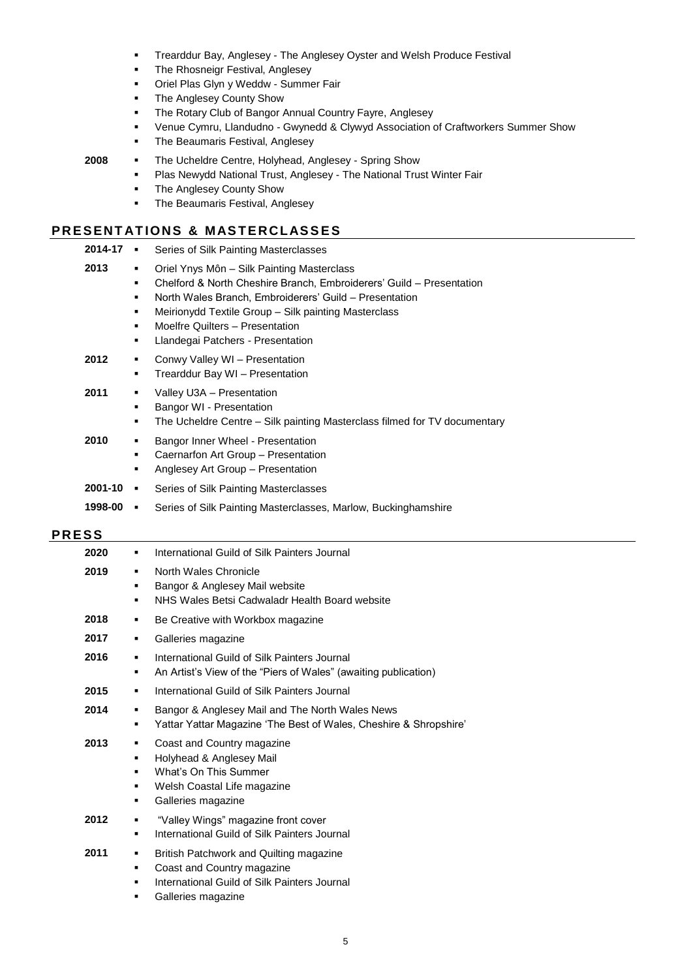- **Trearddur Bay, Anglesey The Anglesey Oyster and Welsh Produce Festival**
- The Rhosneigr Festival, Anglesey
- **•** Oriel Plas Glyn y Weddw Summer Fair
- The Anglesey County Show
- The Rotary Club of Bangor Annual Country Fayre, Anglesey
- Venue Cymru, Llandudno Gwynedd & Clywyd Association of Craftworkers Summer Show
- **The Beaumaris Festival, Anglesey**
- **The Ucheldre Centre, Holyhead, Anglesey Spring Show**
- Plas Newydd National Trust, Anglesey The National Trust Winter Fair
	- The Anglesey County Show
	- **The Beaumaris Festival, Anglesey**

### **PRESENTATIONS & MASTERCLASSES**

| 2014-17 | Series of Silk Painting Masterclasses<br>٠                                                                                                                                                                                                                                                                             |
|---------|------------------------------------------------------------------------------------------------------------------------------------------------------------------------------------------------------------------------------------------------------------------------------------------------------------------------|
| 2013    | Oriel Ynys Môn – Silk Painting Masterclass<br>٠<br>Chelford & North Cheshire Branch, Embroiderers' Guild – Presentation<br>North Wales Branch, Embroiderers' Guild - Presentation<br>Meirionydd Textile Group - Silk painting Masterclass<br>Moelfre Quilters - Presentation<br>Llandegai Patchers - Presentation<br>٠ |
| 2012    | Conwy Valley WI - Presentation<br>٠<br>Trearddur Bay WI - Presentation<br>٠                                                                                                                                                                                                                                            |
| 2011    | Valley U3A - Presentation<br>٠<br>Bangor WI - Presentation<br>٠<br>The Ucheldre Centre - Silk painting Masterclass filmed for TV documentary<br>٠                                                                                                                                                                      |
| 2010    | Bangor Inner Wheel - Presentation<br>٠<br>Caernarfon Art Group - Presentation<br>Anglesey Art Group - Presentation<br>٠                                                                                                                                                                                                |
| 2001-10 | Series of Silk Painting Masterclasses<br>٠                                                                                                                                                                                                                                                                             |
| 1998-00 | Series of Silk Painting Masterclasses, Marlow, Buckinghamshire                                                                                                                                                                                                                                                         |

#### **PR ESS**

**2008**

| 2020 | ٠                        | International Guild of Silk Painters Journal                                                                                                |
|------|--------------------------|---------------------------------------------------------------------------------------------------------------------------------------------|
| 2019 | ٠<br>٠<br>$\blacksquare$ | North Wales Chronicle<br>Bangor & Anglesey Mail website<br>NHS Wales Betsi Cadwaladr Health Board website                                   |
| 2018 | ٠                        | Be Creative with Workbox magazine                                                                                                           |
| 2017 | ٠                        | Galleries magazine                                                                                                                          |
| 2016 | ٠<br>٠                   | International Guild of Silk Painters Journal<br>An Artist's View of the "Piers of Wales" (awaiting publication)                             |
| 2015 | ٠                        | International Guild of Silk Painters Journal                                                                                                |
| 2014 | ٠<br>٠                   | Bangor & Anglesey Mail and The North Wales News<br>Yattar Yattar Magazine 'The Best of Wales, Cheshire & Shropshire'                        |
| 2013 | ٠<br>٠<br>٠<br>٠<br>٠    | Coast and Country magazine<br>Holyhead & Anglesey Mail<br>What's On This Summer<br>Welsh Coastal Life magazine<br>Galleries magazine        |
| 2012 | ٠<br>٠                   | "Valley Wings" magazine front cover<br>International Guild of Silk Painters Journal                                                         |
| 2011 | ٠<br>٠<br>$\blacksquare$ | British Patchwork and Quilting magazine<br>Coast and Country magazine<br>International Guild of Silk Painters Journal<br>Galleries magazine |